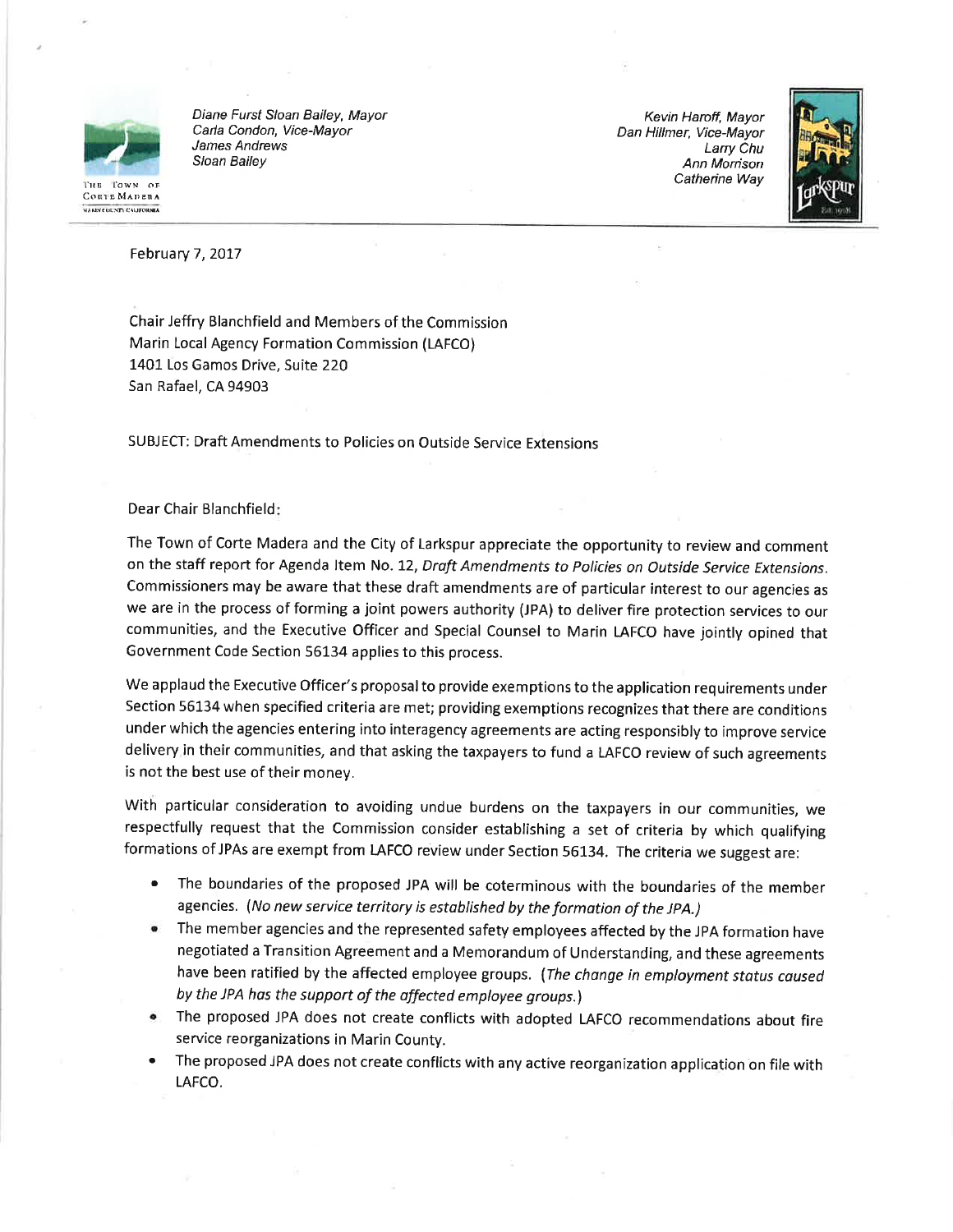

Diane Furst Sloan Bailey, Mayor Carla Condon, Vice-Mayor James Andrews Sloan Bailey

Kevin Haroff, Mayor Dan Hillmer, Vice-Mayor Larry Chu Ann Morrison Catherine Way



February 7, 2017

Chair Jeffry Blanchfield and Members of the Commission Marin Local Agency Formation Commission (LAFCO) 1401 Los Gamos Drive, Suite 220 San Rafael, CA 94903

**SUBJECT: Draft Amendments to Policies on Outside Service Extensions** 

## Dear Chair Blanchfield:

The Town of Corte Madera and the City of Larkspur appreciate the opportunity to review and comment on the staff report for Agenda Item No. 12, Draft Amendments to Policies on Outside Service Extensions. Commissioners may be aware that these draft amendments are of particular interest to our agencies as we are in the process of forming a joint powers authority (JPA) to deliver fire protection services to our communities, and the Executive Officer and Special Counsel to Marin LAFCO have jointly opined that Government Code Section 56134 applies to this process.

We applaud the Executive Officer's proposal to provide exemptions to the application requirements under Section 56134 when specified criteria are met; providing exemptions recognizes that there are conditions under which the agencies entering into interagency agreements are acting responsibly to improve service delivery in their communities, and that asking the taxpayers to fund a LAFCO review of such agreements is not the best use of their money.

With particular consideration to avoiding undue burdens on the taxpayers in our communities, we respectfully request that the Commission consider establishing a set of criteria by which qualifying formations of JPAs are exempt from LAFCO review under Section 56134. The criteria we suggest are:

- The boundaries of the proposed JPA will be coterminous with the boundaries of the member agencies. (No new service territory is established by the formation of the JPA.)
- The member agencies and the represented safety employees affected by the JPA formation have negotiated a Transition Agreement and a Memorandum of Understanding, and these agreements have been ratified by the affected employee groups. (The change in employment status caused by the JPA has the support of the affected employee groups.)
- The proposed JPA does not create conflicts with adopted LAFCO recommendations about fire service reorganizations in Marin County.
- The proposed JPA does not create conflicts with any active reorganization application on file with LAFCO.